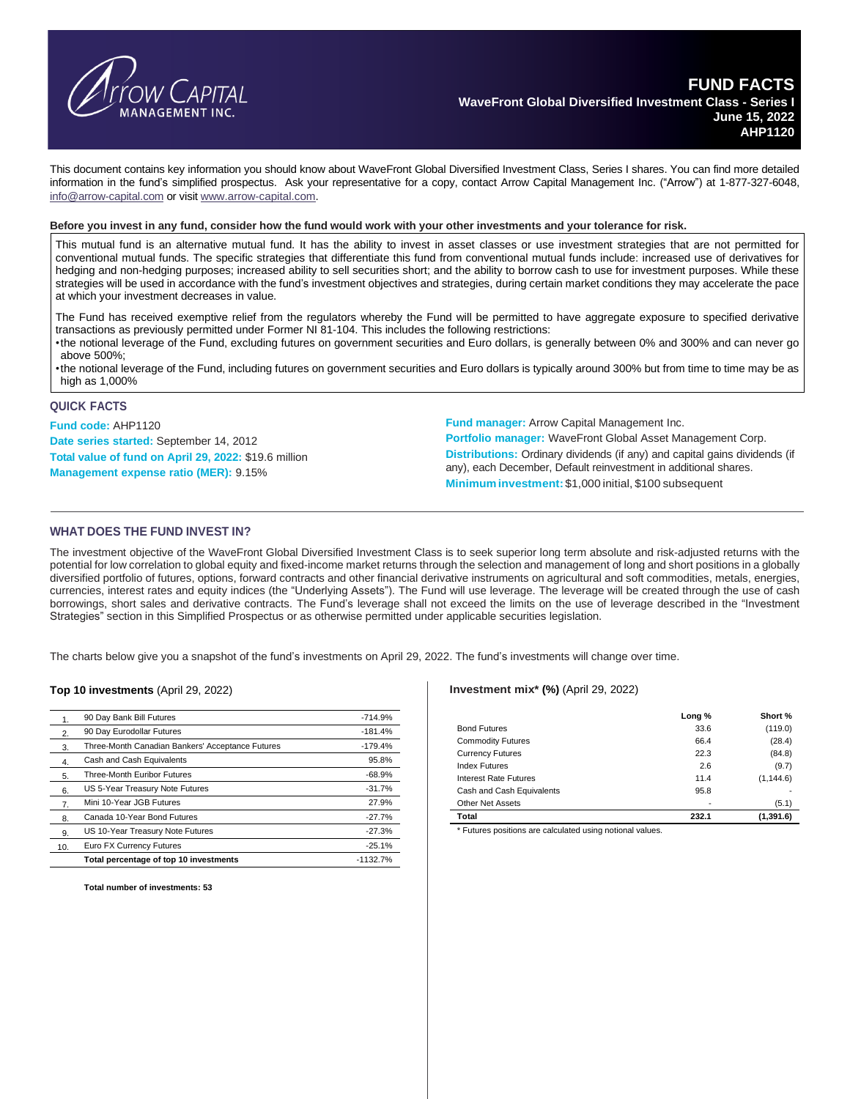

This document contains key information you should know about WaveFront Global Diversified Investment Class, Series I shares. You can find more detailed information in the fund's simplified prospectus. Ask your representative for a copy, contact Arrow Capital Management Inc. ("Arrow") at 1-877-327-6048, [info@arrow-capital.com](mailto:info@arrow-capital.com) or visit [www.arrow-capital.com.](http://www.arrow-capital.com/)

#### Before you invest in any fund, consider how the fund would work with your other investments and your tolerance for risk.

This mutual fund is an alternative mutual fund. It has the ability to invest in asset classes or use investment strategies that are not permitted for conventional mutual funds. The specific strategies that differentiate this fund from conventional mutual funds include: increased use of derivatives for hedging and non-hedging purposes; increased ability to sell securities short; and the ability to borrow cash to use for investment purposes. While these strategies will be used in accordance with the fund's investment objectives and strategies, during certain market conditions they may accelerate the pace at which your investment decreases in value.

The Fund has received exemptive relief from the regulators whereby the Fund will be permitted to have aggregate exposure to specified derivative transactions as previously permitted under Former NI 81-104. This includes the following restrictions:

•the notional leverage of the Fund, excluding futures on government securities and Euro dollars, is generally between 0% and 300% and can never go above 500%;

•the notional leverage of the Fund, including futures on government securities and Euro dollars is typically around 300% but from time to time may be as high as 1,000%

#### **QUICK FACTS**

**Fund code:** AHP1120 **Date series started:** September 14, 2012 **Total value of fund on April 29, 2022:** \$19.6 million **Management expense ratio (MER):** 9.15%

**Fund manager:** Arrow Capital Management Inc.

**Portfolio manager:** WaveFront Global Asset Management Corp. **Distributions:** Ordinary dividends (if any) and capital gains dividends (if any), each December, Default reinvestment in additional shares. **Minimuminvestment:** \$1,000 initial, \$100 subsequent

## **WHAT DOES THE FUND INVEST IN?**

The investment objective of the WaveFront Global Diversified Investment Class is to seek superior long term absolute and risk-adjusted returns with the potential for low correlation to global equity and fixed-income market returns through the selection and management of long and short positions in a globally diversified portfolio of futures, options, forward contracts and other financial derivative instruments on agricultural and soft commodities, metals, energies, currencies, interest rates and equity indices (the "Underlying Assets"). The Fund will use leverage. The leverage will be created through the use of cash borrowings, short sales and derivative contracts. The Fund's leverage shall not exceed the limits on the use of leverage described in the "Investment Strategies" section in this Simplified Prospectus or as otherwise permitted under applicable securities legislation.

The charts below give you a snapshot of the fund's investments on April 29, 2022. The fund's investments will change over time.

#### **Top 10 investments** (April 29, 2022)

|                  | 90 Day Bank Bill Futures                         | $-714.9%$  |
|------------------|--------------------------------------------------|------------|
| 2.               | 90 Day Eurodollar Futures                        | $-181.4%$  |
| 3.               | Three-Month Canadian Bankers' Acceptance Futures | $-179.4%$  |
| $\overline{4}$ . | Cash and Cash Equivalents                        | 95.8%      |
| 5.               | Three-Month Euribor Futures                      | $-68.9%$   |
| 6.               | US 5-Year Treasury Note Futures                  | $-31.7%$   |
| 7.               | Mini 10-Year JGB Futures                         | 27.9%      |
| 8.               | Canada 10-Year Bond Futures                      | $-27.7%$   |
| 9.               | US 10-Year Treasury Note Futures                 | $-27.3%$   |
| 10.              | Euro FX Currency Futures                         | $-25.1%$   |
|                  | Total percentage of top 10 investments           | $-1132.7%$ |

**Total number of investments: 53**

#### **Investment mix\* (%)** (April 29, 2022)

|                           | Long % | Short %    |
|---------------------------|--------|------------|
| <b>Bond Futures</b>       | 33.6   | (119.0)    |
| <b>Commodity Futures</b>  | 66.4   | (28.4)     |
| <b>Currency Futures</b>   | 22.3   | (84.8)     |
| <b>Index Futures</b>      | 2.6    | (9.7)      |
| Interest Rate Futures     | 11.4   | (1, 144.6) |
| Cash and Cash Equivalents | 95.8   |            |
| <b>Other Net Assets</b>   | ٠      | (5.1)      |
| Total                     | 232.1  | (1, 391.6) |

\* Futures positions are calculated using notional values.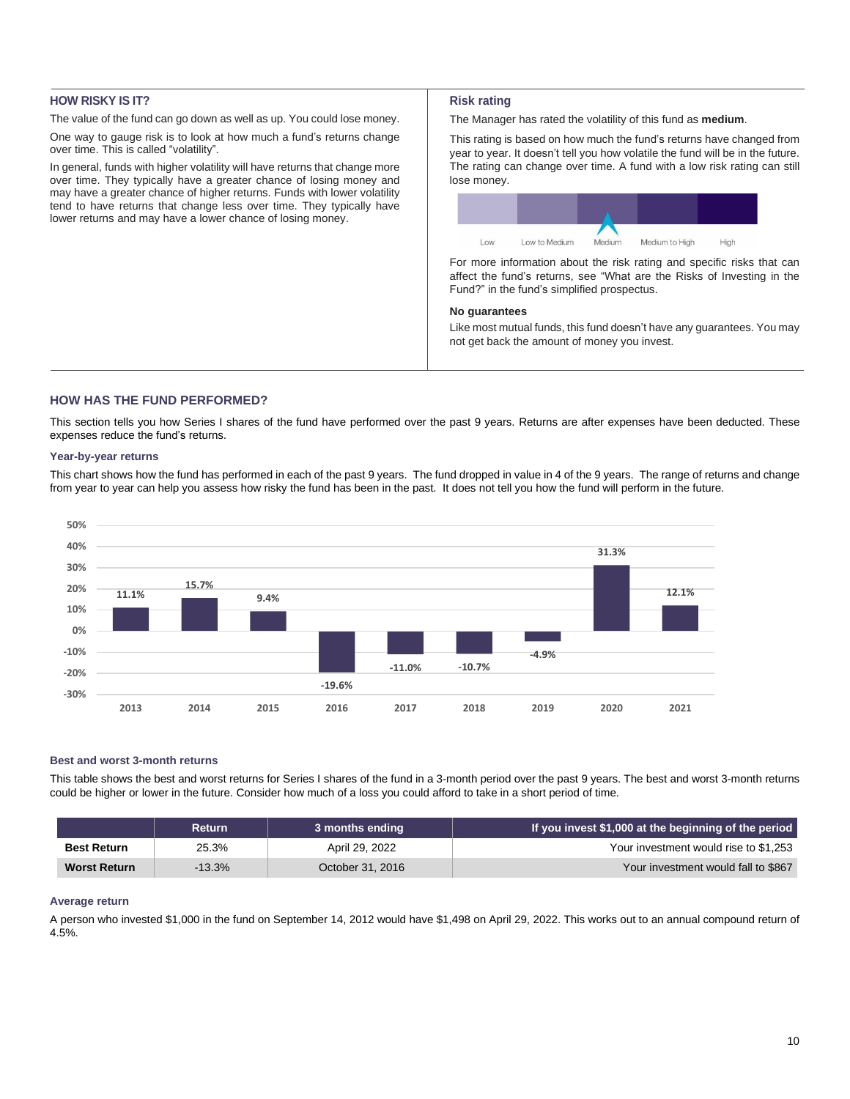# **HOW RISKY IS IT?**

The value of the fund can go down as well as up. You could lose money.

One way to gauge risk is to look at how much a fund's returns change over time. This is called "volatility".

In general, funds with higher volatility will have returns that change more over time. They typically have a greater chance of losing money and may have a greater chance of higher returns. Funds with lower volatility tend to have returns that change less over time. They typically have lower returns and may have a lower chance of losing money.

## **Risk rating**

The Manager has rated the volatility of this fund as **medium**.

This rating is based on how much the fund's returns have changed from year to year. It doesn't tell you how volatile the fund will be in the future. The rating can change over time. A fund with a low risk rating can still lose money.



For more information about the risk rating and specific risks that can affect the fund's returns, see "What are the Risks of Investing in the Fund?" in the fund's simplified prospectus.

## **No guarantees**

Like most mutual funds, this fund doesn't have any guarantees. You may not get back the amount of money you invest.

## **HOW HAS THE FUND PERFORMED?**

This section tells you how Series I shares of the fund have performed over the past 9 years. Returns are after expenses have been deducted. These expenses reduce the fund's returns.

## **Year-by-year returns**

This chart shows how the fund has performed in each of the past 9 years. The fund dropped in value in 4 of the 9 years. The range of returns and change from year to year can help you assess how risky the fund has been in the past. It does not tell you how the fund will perform in the future.



### **Best and worst 3-month returns**

This table shows the best and worst returns for Series I shares of the fund in a 3-month period over the past 9 years. The best and worst 3-month returns could be higher or lower in the future. Consider how much of a loss you could afford to take in a short period of time.

|                     | <b>Return</b> | 3 months ending  | If you invest \$1,000 at the beginning of the period |
|---------------------|---------------|------------------|------------------------------------------------------|
| <b>Best Return</b>  | 25.3%         | April 29, 2022   | Your investment would rise to \$1,253                |
| <b>Worst Return</b> | $-13.3%$      | October 31, 2016 | Your investment would fall to \$867                  |

## **Average return**

A person who invested \$1,000 in the fund on September 14, 2012 would have \$1,498 on April 29, 2022. This works out to an annual compound return of 4.5%.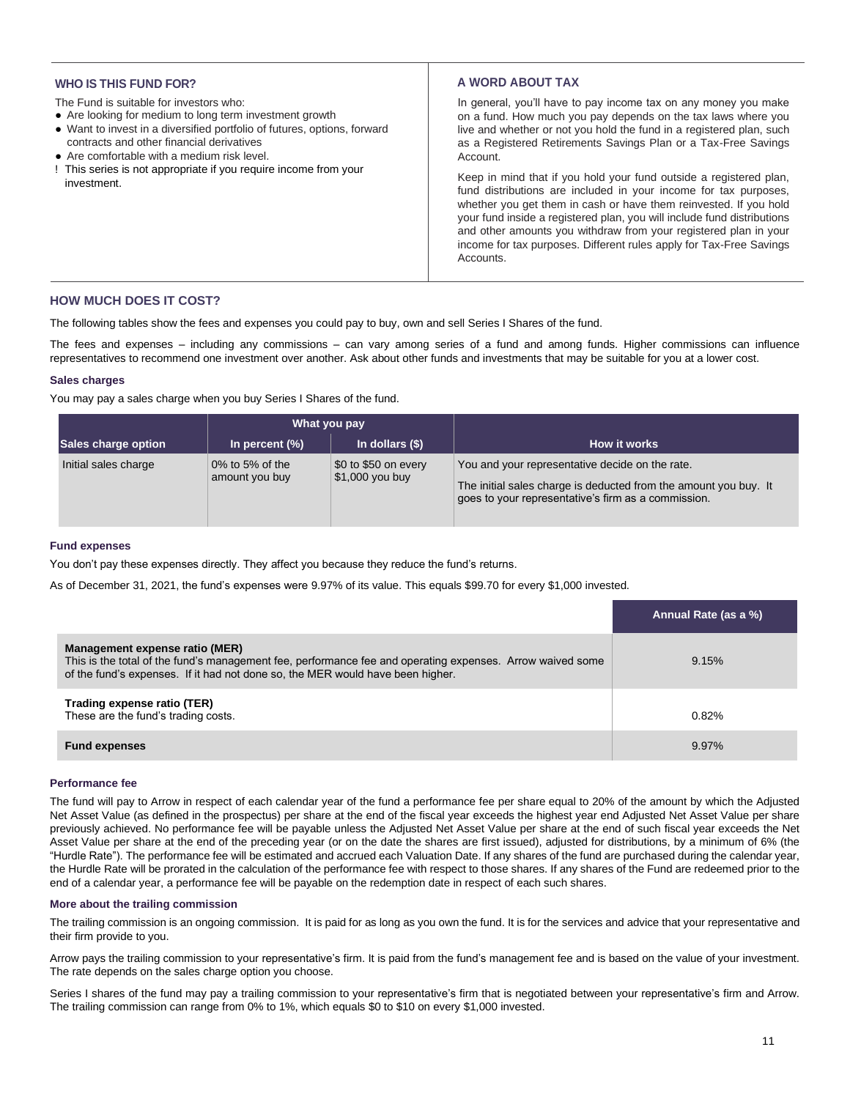## **WHO IS THIS FUND FOR?**

The Fund is suitable for investors who:

- Are looking for medium to long term investment growth
- Want to invest in a diversified portfolio of futures, options, forward contracts and other financial derivatives
- Are comfortable with a medium risk level.
- ! This series is not appropriate if you require income from your investment.

## **A WORD ABOUT TAX**

In general, you'll have to pay income tax on any money you make on a fund. How much you pay depends on the tax laws where you live and whether or not you hold the fund in a registered plan, such as a Registered Retirements Savings Plan or a Tax-Free Savings Account.

Keep in mind that if you hold your fund outside a registered plan, fund distributions are included in your income for tax purposes, whether you get them in cash or have them reinvested. If you hold your fund inside a registered plan, you will include fund distributions and other amounts you withdraw from your registered plan in your income for tax purposes. Different rules apply for Tax-Free Savings **Accounts** 

## **HOW MUCH DOES IT COST?**

The following tables show the fees and expenses you could pay to buy, own and sell Series I Shares of the fund.

The fees and expenses – including any commissions – can vary among series of a fund and among funds. Higher commissions can influence representatives to recommend one investment over another. Ask about other funds and investments that may be suitable for you at a lower cost.

### **Sales charges**

You may pay a sales charge when you buy Series I Shares of the fund.

|                      | What you pay                      |                                         |                                                                                                                                                                            |  |
|----------------------|-----------------------------------|-----------------------------------------|----------------------------------------------------------------------------------------------------------------------------------------------------------------------------|--|
| Sales charge option  | In percent $(\%)$                 | In dollars $(\$)$                       | How it works                                                                                                                                                               |  |
| Initial sales charge | 0% to 5% of the<br>amount you buy | \$0 to \$50 on every<br>\$1,000 you buy | You and your representative decide on the rate.<br>The initial sales charge is deducted from the amount you buy. It<br>goes to your representative's firm as a commission. |  |

### **Fund expenses**

You don't pay these expenses directly. They affect you because they reduce the fund's returns.

As of December 31, 2021, the fund's expenses were 9.97% of its value. This equals \$99.70 for every \$1,000 invested.

|                                                                                                                                                                                                                               | Annual Rate (as a %) |
|-------------------------------------------------------------------------------------------------------------------------------------------------------------------------------------------------------------------------------|----------------------|
| Management expense ratio (MER)<br>This is the total of the fund's management fee, performance fee and operating expenses. Arrow waived some<br>of the fund's expenses. If it had not done so, the MER would have been higher. | 9.15%                |
| Trading expense ratio (TER)<br>These are the fund's trading costs.                                                                                                                                                            | 0.82%                |
| <b>Fund expenses</b>                                                                                                                                                                                                          | 9.97%                |

#### **Performance fee**

The fund will pay to Arrow in respect of each calendar year of the fund a performance fee per share equal to 20% of the amount by which the Adjusted Net Asset Value (as defined in the prospectus) per share at the end of the fiscal year exceeds the highest year end Adjusted Net Asset Value per share previously achieved. No performance fee will be payable unless the Adjusted Net Asset Value per share at the end of such fiscal year exceeds the Net Asset Value per share at the end of the preceding year (or on the date the shares are first issued), adjusted for distributions, by a minimum of 6% (the "Hurdle Rate"). The performance fee will be estimated and accrued each Valuation Date. If any shares of the fund are purchased during the calendar year, the Hurdle Rate will be prorated in the calculation of the performance fee with respect to those shares. If any shares of the Fund are redeemed prior to the end of a calendar year, a performance fee will be payable on the redemption date in respect of each such shares.

#### **More about the trailing commission**

The trailing commission is an ongoing commission. It is paid for as long as you own the fund. It is for the services and advice that your representative and their firm provide to you.

Arrow pays the trailing commission to your representative's firm. It is paid from the fund's management fee and is based on the value of your investment. The rate depends on the sales charge option you choose.

Series I shares of the fund may pay a trailing commission to your representative's firm that is negotiated between your representative's firm and Arrow. The trailing commission can range from 0% to 1%, which equals \$0 to \$10 on every \$1,000 invested.